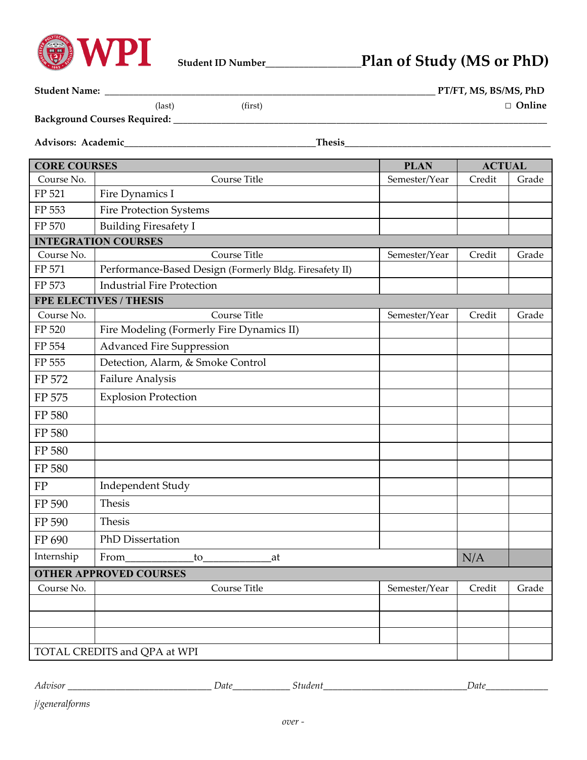

## **Student ID Number\_\_\_\_\_\_\_\_\_\_\_\_\_\_\_\_\_\_\_\_Plan of Study (MS or PhD)**

| <b>Student Name:</b><br>PT/FT, MS, BS/MS, PhD                         |                                                         |               |               |       |  |
|-----------------------------------------------------------------------|---------------------------------------------------------|---------------|---------------|-------|--|
| □ Online<br>(first)<br>(last)<br>Background Courses Required: _______ |                                                         |               |               |       |  |
|                                                                       |                                                         |               |               |       |  |
| Advisors: Academic_<br>Thesis                                         |                                                         |               |               |       |  |
| <b>CORE COURSES</b>                                                   |                                                         | <b>PLAN</b>   | <b>ACTUAL</b> |       |  |
| Course No.                                                            | Course Title                                            | Semester/Year | Credit        | Grade |  |
| FP 521                                                                | Fire Dynamics I                                         |               |               |       |  |
| FP 553                                                                | <b>Fire Protection Systems</b>                          |               |               |       |  |
| FP 570                                                                | <b>Building Firesafety I</b>                            |               |               |       |  |
| <b>INTEGRATION COURSES</b>                                            |                                                         |               |               |       |  |
| Course No.                                                            | Course Title                                            | Semester/Year | Credit        | Grade |  |
| FP 571                                                                | Performance-Based Design (Formerly Bldg. Firesafety II) |               |               |       |  |
| FP 573                                                                | <b>Industrial Fire Protection</b>                       |               |               |       |  |
| <b>FPE ELECTIVES / THESIS</b>                                         |                                                         |               |               |       |  |
| Course No.                                                            | Course Title                                            | Semester/Year | Credit        | Grade |  |
| FP 520                                                                | Fire Modeling (Formerly Fire Dynamics II)               |               |               |       |  |
| FP 554                                                                | <b>Advanced Fire Suppression</b>                        |               |               |       |  |
| FP 555                                                                | Detection, Alarm, & Smoke Control                       |               |               |       |  |
| FP 572                                                                | <b>Failure Analysis</b>                                 |               |               |       |  |
| FP 575                                                                | <b>Explosion Protection</b>                             |               |               |       |  |
| FP 580                                                                |                                                         |               |               |       |  |
| FP 580                                                                |                                                         |               |               |       |  |
| FP 580                                                                |                                                         |               |               |       |  |
| FP 580                                                                |                                                         |               |               |       |  |
| FP                                                                    | Independent Study                                       |               |               |       |  |
| FP 590                                                                | <b>Thesis</b>                                           |               |               |       |  |
| FP 590                                                                | Thesis                                                  |               |               |       |  |
| FP 690                                                                | PhD Dissertation                                        |               |               |       |  |
| Internship                                                            | From<br>$\rm{to}$<br>at                                 |               | N/A           |       |  |
| <b>OTHER APPROVED COURSES</b>                                         |                                                         |               |               |       |  |
| Course No.                                                            | Course Title                                            | Semester/Year | Credit        | Grade |  |
|                                                                       |                                                         |               |               |       |  |
|                                                                       |                                                         |               |               |       |  |
|                                                                       |                                                         |               |               |       |  |
| TOTAL CREDITS and QPA at WPI                                          |                                                         |               |               |       |  |

*Advisor \_\_\_\_\_\_\_\_\_\_\_\_\_\_\_\_\_\_\_\_\_\_\_\_\_\_\_\_\_\_ Date\_\_\_\_\_\_\_\_\_\_\_\_ Student\_\_\_\_\_\_\_\_\_\_\_\_\_\_\_\_\_\_\_\_\_\_\_\_\_\_\_\_\_\_Date\_\_\_\_\_\_\_\_\_\_\_\_\_* 

*j/generalforms*